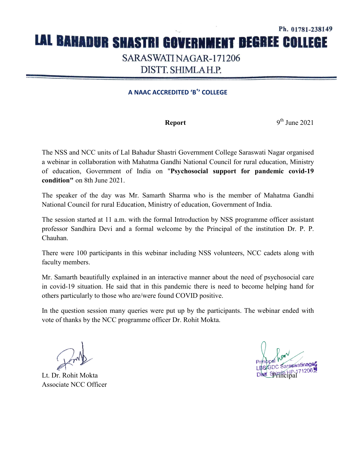## Ph. 01781-238149 LAL BAHADUR SHASTRI GOVERNMENT DEGREE COLLEGE SARASWATI NAGAR-171206 DISTT. SHIMLAH.P.

## **A NAAC ACCREDITED 'B 'B+ ' COLLEGE**

**Report** 

 $9<sup>th</sup>$  June 2021

The NSS and NCC units of Lal Bahadur Shastri Government College Saraswati Nagar organised a webinar in collaboration with Mahatma Gandhi National Council for rural education, Ministry of education, Government of India on "Psychosocial support for pandemic covid-19 **condition"** on 8th June 2021.

The speaker of the day was Mr. Samarth Sharma who is the member of Mahatma Gandhi National Council for rural Education, Ministry of education, Government of India.

The session started at 11 a.m. with the formal Introduction by NSS programme officer assistant professor Sandhira Devi and a formal welcome by the Principal of the institution Dr. P. P. professor Sandhira Devi and a formal welcome by the Principal of the institution Dr Chauhan.

There were 100 participants in this webinar including NSS volunteers, NCC cadets along with faculty members.

Mr. Samarth beautifully explained in an interactive manner about the need of psychosocial care in covid-19 situation. He said that in this pandemic there is need to become helping hand for others particularly to those who are/were found COVID positive. in covid-19 situation. He said that in this pandemic there is need to become helping hand for<br>others particularly to those who are/were found COVID positive.<br>In the question session many queries were put up by the particip

vote of thanks by the NCC programme officer Dr. Rohit Mokta.

Lt. Dr. Rohit Mokta Associate NCC Officer

**Principal**